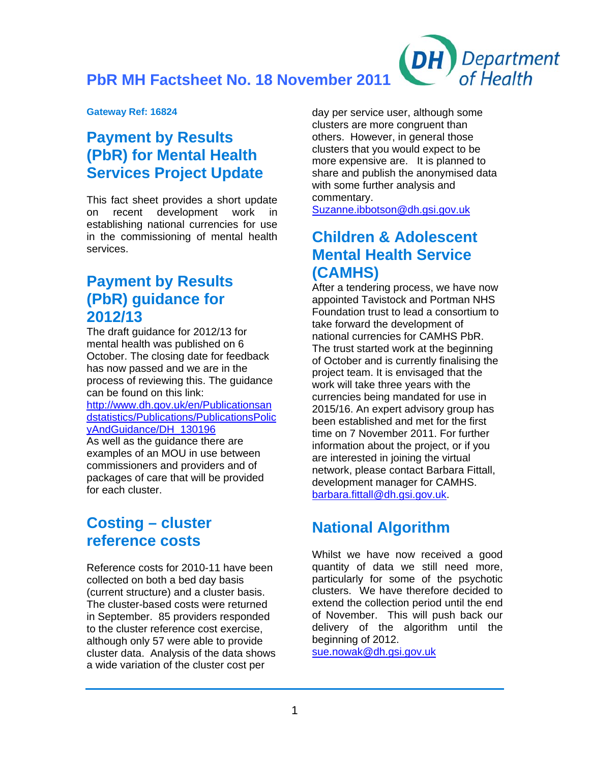**PbR MH Factsheet No. 18 November 2011** 

**Gateway Ref: 16824** 

## **Payment by Results (PbR) for Mental Health Services Project Update**

This fact sheet provides a short update on recent development work in establishing national currencies for use in the commissioning of mental health services.

## **Payment by Results (PbR) guidance for 2012/13**

The draft guidance for 2012/13 for mental health was published on 6 October. The closing date for feedback has now passed and we are in the process of reviewing this. The guidance can be found on this link: [http://www.dh.gov.uk/en/Publicationsan](http://www.dh.gov.uk/en/Publicationsandstatistics/Publications/PublicationsPolicyAndGuidance/DH_130196) [dstatistics/Publications/PublicationsPolic](http://www.dh.gov.uk/en/Publicationsandstatistics/Publications/PublicationsPolicyAndGuidance/DH_130196) [yAndGuidance/DH\\_130196](http://www.dh.gov.uk/en/Publicationsandstatistics/Publications/PublicationsPolicyAndGuidance/DH_130196) As well as the guidance there are examples of an MOU in use between commissioners and providers and of packages of care that will be provided for each cluster.

## **Costing – cluster reference costs**

Reference costs for 2010-11 have been collected on both a bed day basis (current structure) and a cluster basis. The cluster-based costs were returned in September. 85 providers responded to the cluster reference cost exercise, although only 57 were able to provide cluster data. Analysis of the data shows a wide variation of the cluster cost per

day per service user, although some clusters are more congruent than others. However, in general those clusters that you would expect to be more expensive are. It is planned to share and publish the anonymised data with some further analysis and commentary.

**DH** 

**Department** 

of Health

[Suzanne.ibbotson@dh.gsi.gov.uk](mailto:Suzanne.ibbotson@dh.gsi.gov.uk) 

## **Children & Adolescent Mental Health Service (CAMHS)**

After a tendering process, we have now appointed Tavistock and Portman NHS Foundation trust to lead a consortium to take forward the development of national currencies for CAMHS PbR. The trust started work at the beginning of October and is currently finalising the project team. It is envisaged that the work will take three years with the currencies being mandated for use in 2015/16. An expert advisory group has been established and met for the first time on 7 November 2011. For further information about the project, or if you are interested in joining the virtual network, please contact Barbara Fit[ta](mailto:barbara.fittall@dh.gsi.gov.uk_)ll, development manager for CAMHS. [barbara.fittall@dh.gsi.gov.uk.](mailto:barbara.fittall@dh.gsi.gov.uk_)

# **National Algorithm**

Whilst we have now received a good quantity of data we still need more, particularly for some of the psychotic clusters. We have therefore decided to extend the collection period until the end of November. This will push back our delivery of the algorithm until the beginning of 2012.

[sue.nowak@dh.gsi.gov.uk](mailto:sue.nowak@dh.gsi.gov.uk)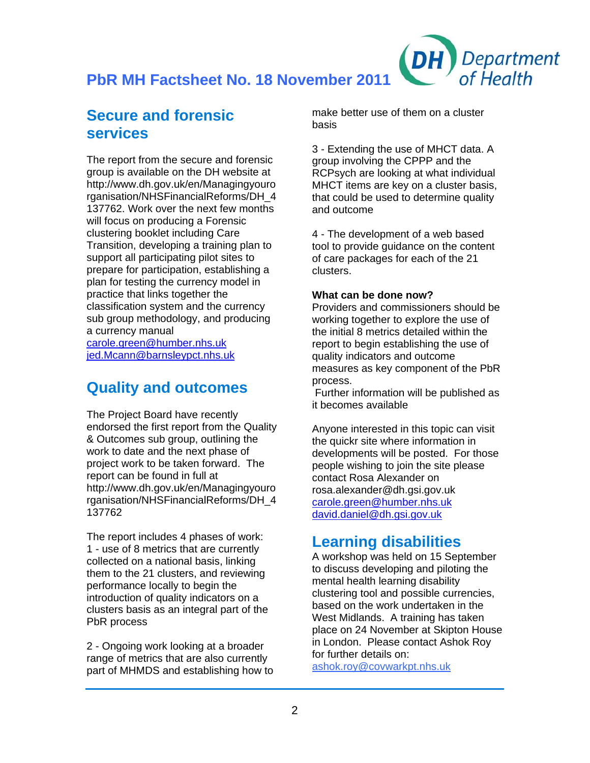**PbR MH Factsheet No. 18 November 2011** 

## **Secure and forensic services**

The report from the secure and forensic group is available on the DH website at http://www.dh.gov.uk/en/Managingyouro rganisation/NHSFinancialReforms/DH\_4 137762. Work over the next few months will focus on producing a Forensic clustering booklet including Care Transition, developing a training plan to support all participating pilot sites to prepare for participation, establishing a plan for testing the currency model in practice that links together the classification system and the currency sub group methodology, and producing a currency manual

[carole.green@humber.nhs.uk](mailto:Carole.green@humber.nhs.uk) [jed.Mcann@barnsleypct.nhs.uk](mailto:Jed.Mcann@barnsleypct.nhs.uk) 

#### **Quality and outcomes**

The Project Board have recently endorsed the first report from the Quality & Outcomes sub group, outlining the work to date and the next phase of project work to be taken forward. The report can be found in full at http://www.dh.gov.uk/en/Managingyouro rganisation/NHSFinancialReforms/DH\_4 137762

The report includes 4 phases of work: 1 - use of 8 metrics that are currently collected on a national basis, linking them to the 21 clusters, and reviewing performance locally to begin the introduction of quality indicators on a clusters basis as an integral part of the PbR process

2 - Ongoing work looking at a broader range of metrics that are also currently part of MHMDS and establishing how to make better use of them on a cluster basis

DH

**Department** 

of Health

3 - Extending the use of MHCT data. A group involving the CPPP and the RCPsych are looking at what individual MHCT items are key on a cluster basis, that could be used to determine quality and outcome

4 - The development of a web based tool to provide guidance on the content of care packages for each of the 21 clusters.

#### **What can be done now?**

Providers and commissioners should be working together to explore the use of the initial 8 metrics detailed within the report to begin establishing the use of quality indicators and outcome measures as key component of the PbR process.

 Further information will be published as it becomes available

Anyone interested in this topic can visit the quickr site where information in developments will be posted. For those people wishing to join the site please contact Rosa Alexander on rosa.alexander@dh.gsi.gov.uk [carole.green@humber.nhs.uk](mailto:Carole.green@humber.nhs.uk) [david.daniel@dh.gsi.gov.uk](mailto:David.daniel@dh.gsi.gov.uk)

## **Learning disabilities**

A workshop was held on 15 September to discuss developing and piloting the mental health learning disability clustering tool and possible currencies, based on the work undertaken in the West Midlands. A training has taken place on 24 November at Skipton House in London. Please contact Ashok Roy for further details on:

[ashok.roy@covwarkpt.nhs.uk](mailto:ashok.roy@covwarkpt.nhs.uk_)